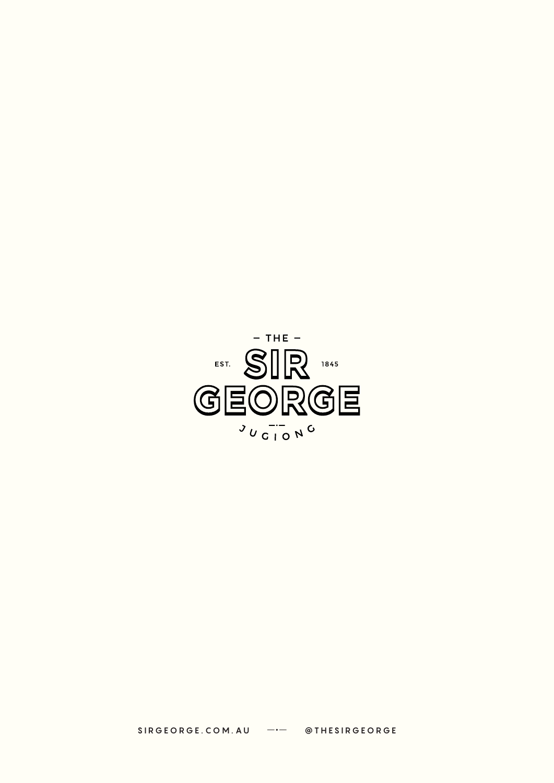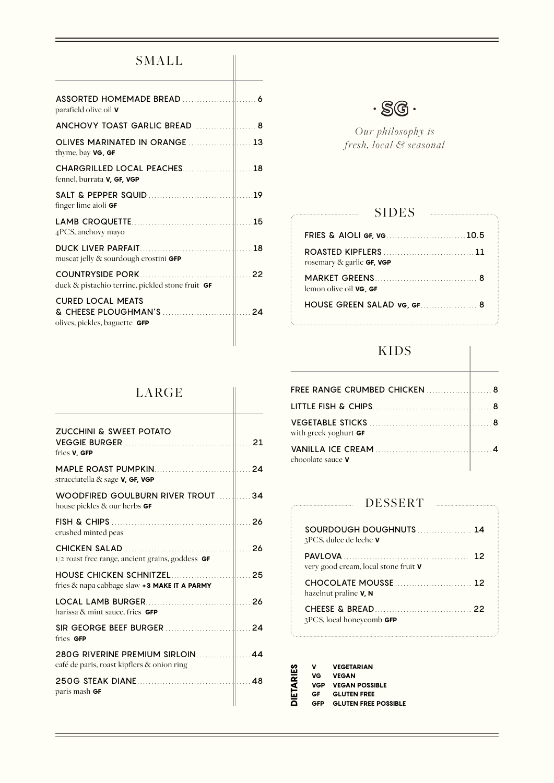# SMALL

| parafield olive oil <b>v</b>                              |  |
|-----------------------------------------------------------|--|
| ANCHOVY TOAST GARLIC BREAD  8                             |  |
| thyme, bay <b>VG, GF</b>                                  |  |
| fennel, burrata <b>V, GF, VGP</b>                         |  |
| finger lime aioli GF                                      |  |
| 4PCS, anchovy mayo                                        |  |
| muscat jelly & sourdough crostini <b>GFP</b>              |  |
| duck & pistachio terrine, pickled stone fruit GF          |  |
| <b>CURED LOCAL MEATS</b><br>olives, pickles, baguette GFP |  |



*Our philosophy is fresh, local & seasonal*

### SIDES

 $\mathcal{L}$ 

| FRIES & AIOLI GF, VG10.5                                                                                   |  |
|------------------------------------------------------------------------------------------------------------|--|
| <b>ROASTED KIPFLERS</b> [ <i>ROASTED KIPFLERS</i> [ <i>ROASTED KIPFLERS</i> ]<br>rosemary & garlic GF, VGP |  |
| lemon olive oil <b>VG. GF</b>                                                                              |  |
| <b>HOUSE GREEN SALAD VG, GF 8</b>                                                                          |  |

## KIDS

| FREE RANGE CRUMBED CHICKEN  8 |  |
|-------------------------------|--|
|                               |  |
| with greek yoghurt <b>GF</b>  |  |
| chocolate sauce <b>V</b>      |  |

### DESSERT

| SOURDOUGH DOUGHNUTS<br>$3PCS$ , dulce de leche <b>v</b>  |  |
|----------------------------------------------------------|--|
| very good cream, local stone fruit <b>V</b>              |  |
| CHOCOLATE MOUSSE<br>hazelnut praline <b>V</b> , <b>N</b> |  |
| $3PCS$ , local honeycomb <b>GFP</b>                      |  |

| v   | <b>VEGETARIAN</b>           |
|-----|-----------------------------|
| VG  | <b>VEGAN</b>                |
| VGP | <b>VEGAN POSSIBLE</b>       |
| GF. | <b>GLUTEN FREE</b>          |
| GFP | <b>GLUTEN FREE POSSIBLE</b> |
|     |                             |

## LARGE

| ZUCCHINI & SWEET POTATO<br>fries <b>V</b> , GFP                                                           |  |
|-----------------------------------------------------------------------------------------------------------|--|
| stracciatella & sage <b>V, GF, VGP</b>                                                                    |  |
| house pickles & our herbs <b>GF</b>                                                                       |  |
| crushed minted peas                                                                                       |  |
| $1/2$ roast free range, ancient grains, goddess $GF$                                                      |  |
| fries $\&$ napa cabbage slaw $\div$ 3 MAKE IT A PARMY                                                     |  |
| harissa & mint sauce, fries <b>GFP</b>                                                                    |  |
| fries GFP                                                                                                 |  |
| 280G RIVERINE PREMIUM SIRLOIN 280G RIVERINE PREMIUM SIRLOIN<br>café de paris, roast kipflers & onion ring |  |
| paris mash <b>GF</b>                                                                                      |  |
|                                                                                                           |  |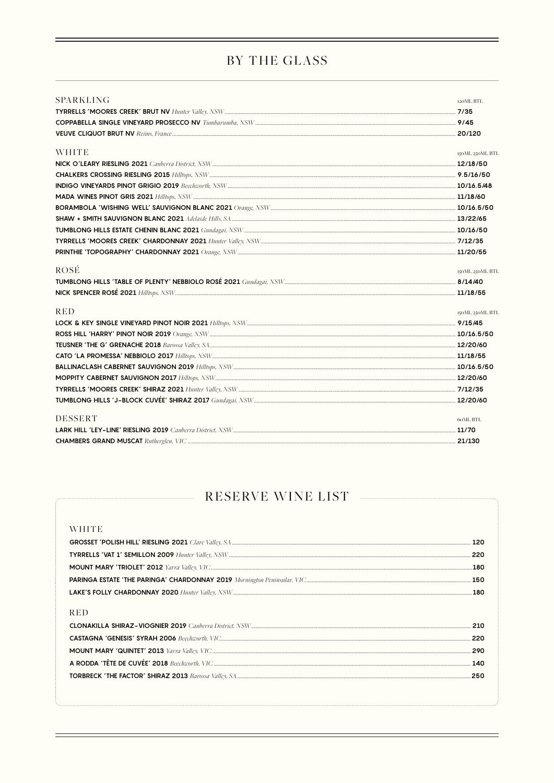# BY THE GLASS

| SPARKLING      | 120ML/BTL       |
|----------------|-----------------|
|                |                 |
|                |                 |
|                |                 |
| <b>WHITE</b>   | 150ML/250ML/BTL |
|                |                 |
|                |                 |
|                |                 |
|                |                 |
|                |                 |
|                |                 |
|                |                 |
|                |                 |
|                |                 |
| ROSÉ           | 150ML/250ML/BTL |
|                |                 |
|                |                 |
| <b>RED</b>     | 150ML/250ML/BTL |
|                |                 |
|                |                 |
|                |                 |
|                |                 |
|                |                 |
|                |                 |
|                |                 |
|                |                 |
| <b>DESSERT</b> | 60ML/BTL        |
|                |                 |
|                |                 |

# RESERVE WINE LIST

| <b>WHITE</b> |     |
|--------------|-----|
|              | 120 |
|              | 220 |
|              | 180 |
|              |     |
|              |     |
|              |     |
| <b>RED</b>   |     |
|              |     |
|              | 220 |
|              | 290 |
|              | 140 |
|              |     |
|              |     |